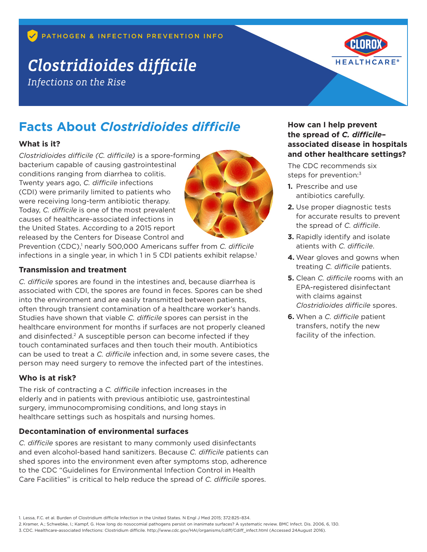# *Clostridioides difficile*

*Infections on the Rise*



# **Facts About** *Clostridioides difficile*

#### **What is it?**

*Clostridioides difficile (C. difficile)* is a spore-forming bacterium capable of causing gastrointestinal conditions ranging from diarrhea to colitis. Twenty years ago, *C. difficile* infections (CDI) were primarily limited to patients who were receiving long-term antibiotic therapy. Today, *C. difficile* is one of the most prevalent causes of healthcare-associated infections in the United States. According to a 2015 report released by the Centers for Disease Control and

Prevention (CDC),<sup>1</sup> nearly 500,000 Americans suffer from *C. difficile* infections in a single year, in which 1 in 5 CDI patients exhibit relapse.<sup>1</sup>

#### **Transmission and treatment**

*C. difficile* spores are found in the intestines and, because diarrhea is associated with CDI, the spores are found in feces. Spores can be shed into the environment and are easily transmitted between patients, often through transient contamination of a healthcare worker's hands. Studies have shown that viable *C. difficile* spores can persist in the healthcare environment for months if surfaces are not properly cleaned and disinfected.<sup>2</sup> A susceptible person can become infected if they touch contaminated surfaces and then touch their mouth. Antibiotics can be used to treat a *C. difficile* infection and, in some severe cases, the person may need surgery to remove the infected part of the intestines.

### **Who is at risk?**

The risk of contracting a *C. difficile* infection increases in the elderly and in patients with previous antibiotic use, gastrointestinal surgery, immunocompromising conditions, and long stays in healthcare settings such as hospitals and nursing homes.

### **Decontamination of environmental surfaces**

*C. difficile* spores are resistant to many commonly used disinfectants and even alcohol-based hand sanitizers. Because *C. difficile* patients can shed spores into the environment even after symptoms stop, adherence to the CDC "Guidelines for Environmental Infection Control in Health Care Facilities" is critical to help reduce the spread of *C. difficile* spores.

### **How can I help prevent the spread of** *C. difficile***– associated disease in hospitals and other healthcare settings?**

The CDC recommends six steps for prevention:<sup>3</sup>

- **1.** Prescribe and use antibiotics carefully.
- **2.** Use proper diagnostic tests for accurate results to prevent the spread of *C. difficile*.
- **3.** Rapidly identify and isolate atients with *C. difficile*.
- **4.** Wear gloves and gowns when treating *C. difficile* patients.
- **5.** Clean *C. difficile* rooms with an EPA-registered disinfectant with claims against *Clostridioides difficile* spores.
- **6.** When a *C. difficile* patient transfers, notify the new facility of the infection.

<sup>1.</sup> Lessa, F.C. et al. Burden of Clostridium difficile Infection in the United States. N Engl J Med 2015; 372:825–834.

<sup>2.</sup> Kramer, A.; Schwebke, I.; Kampf, G. How long do nosocomial pathogens persist on inanimate surfaces? A systematic review. BMC Infect. Dis. 2006, 6, 130.

<sup>3.</sup>CDC. Healthcare-associated Infections: Clostridium difficile. http://www.cdc.gov/HAI/organisms/cdiff/Cdiff\_infect.html (Accessed 24August 2016).